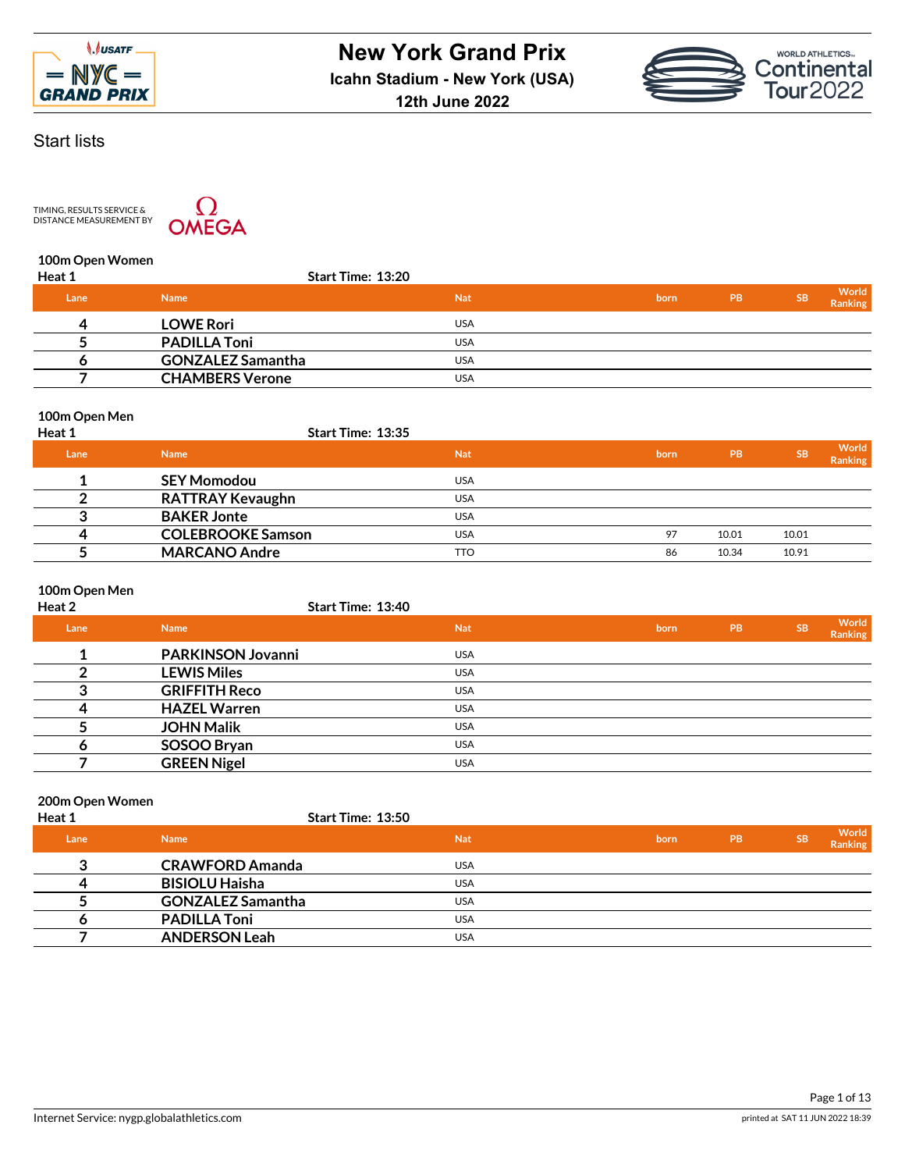



# Start lists

TIMING, RESULTS SERVICE &<br>DISTANCE MEASUREMENT BY



### **100m Open Women**

| <b>Heat 1</b> | <b>Start Time: 13:20</b> |            |      |           |           |                  |
|---------------|--------------------------|------------|------|-----------|-----------|------------------|
| Lane          | <b>Name</b>              | <b>Nat</b> | born | <b>PB</b> | <b>SB</b> | World<br>Ranking |
| 4             | <b>LOWE Rori</b>         | USA        |      |           |           |                  |
|               | <b>PADILLA Toni</b>      | <b>USA</b> |      |           |           |                  |
|               | <b>GONZALEZ Samantha</b> | <b>USA</b> |      |           |           |                  |
|               | <b>CHAMBERS Verone</b>   | <b>USA</b> |      |           |           |                  |
|               |                          |            |      |           |           |                  |

### **100m Open Men**

| <b>Heat 1</b> | <b>Start Time: 13:35</b> |            |      |       |       |                         |
|---------------|--------------------------|------------|------|-------|-------|-------------------------|
| Lane          | <b>Name</b>              | <b>Nat</b> | born | PB    | 'SB   | World<br><b>Ranking</b> |
|               | <b>SEY Momodou</b>       | <b>USA</b> |      |       |       |                         |
|               | <b>RATTRAY Kevaughn</b>  | <b>USA</b> |      |       |       |                         |
|               | <b>BAKER Jonte</b>       | <b>USA</b> |      |       |       |                         |
| 4             | <b>COLEBROOKE Samson</b> | <b>USA</b> | 97   | 10.01 | 10.01 |                         |
|               | <b>MARCANO Andre</b>     | <b>TTO</b> | 86   | 10.34 | 10.91 |                         |

## **100m Open Men**

| Heat 2 | Start Time: 13:40        |            |      |           |           |                  |
|--------|--------------------------|------------|------|-----------|-----------|------------------|
| Lane   | <b>Name</b>              | <b>Nat</b> | born | <b>PB</b> | <b>SB</b> | World<br>Ranking |
|        | <b>PARKINSON Jovanni</b> | <b>USA</b> |      |           |           |                  |
|        | <b>LEWIS Miles</b>       | <b>USA</b> |      |           |           |                  |
| ◠      | <b>GRIFFITH Reco</b>     | <b>USA</b> |      |           |           |                  |
|        | <b>HAZEL Warren</b>      | <b>USA</b> |      |           |           |                  |
|        | <b>JOHN Malik</b>        | <b>USA</b> |      |           |           |                  |
|        | SOSOO Bryan              | <b>USA</b> |      |           |           |                  |
|        | <b>GREEN Nigel</b>       | <b>USA</b> |      |           |           |                  |

# **200m Open Women**

| Heat 1 | Start Time: 13:50        |            |      |           |           |                  |
|--------|--------------------------|------------|------|-----------|-----------|------------------|
| 'Lane  | <b>Name</b>              | <b>Nat</b> | born | <b>PB</b> | <b>SB</b> | World<br>Ranking |
| ≏      | <b>CRAWFORD Amanda</b>   | <b>USA</b> |      |           |           |                  |
| Д      | <b>BISIOLU Haisha</b>    | <b>USA</b> |      |           |           |                  |
|        | <b>GONZALEZ Samantha</b> | <b>USA</b> |      |           |           |                  |
|        | <b>PADILLA Toni</b>      | <b>USA</b> |      |           |           |                  |
|        | <b>ANDERSON Leah</b>     | <b>USA</b> |      |           |           |                  |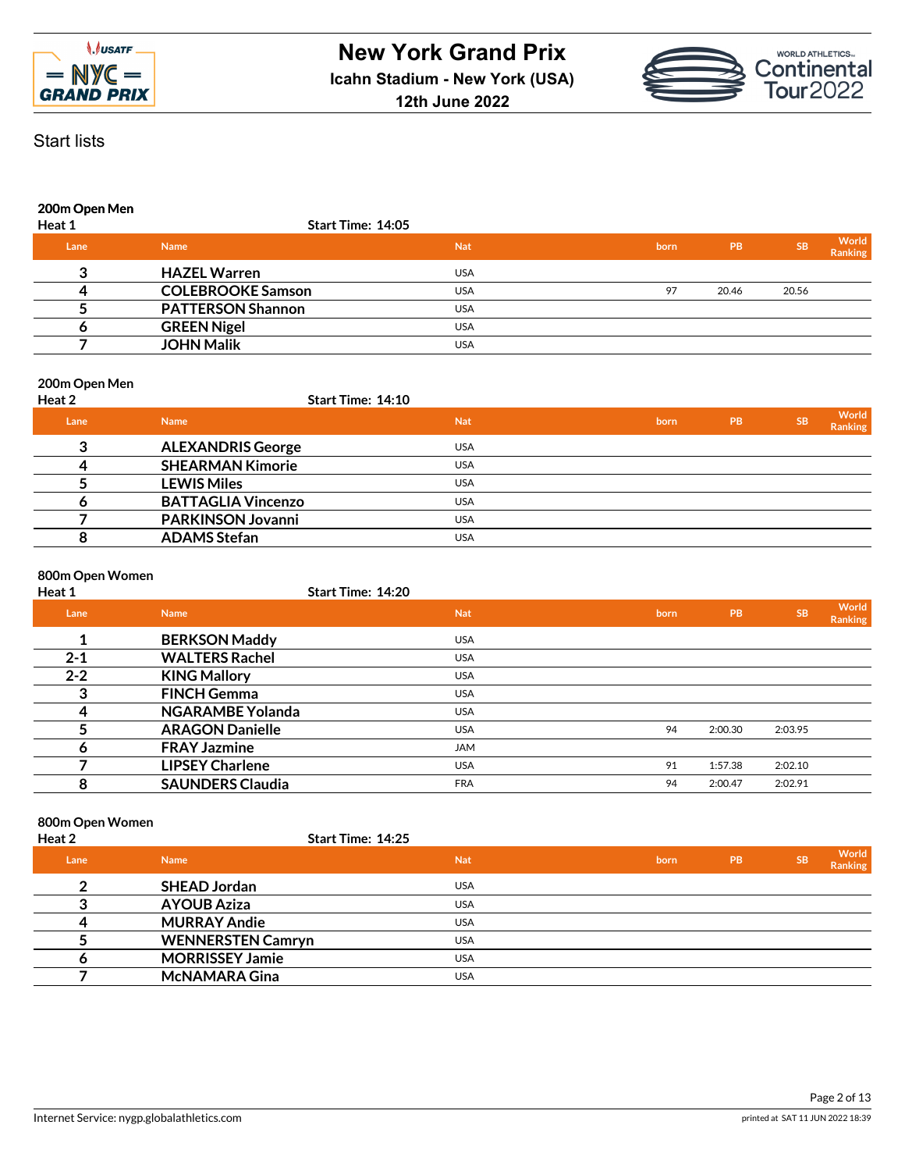



## **200m Open Men**

| Heat 1 | Start Time: 14:05        |            |      |       |           |                  |
|--------|--------------------------|------------|------|-------|-----------|------------------|
| Lane   | <b>Name</b>              | <b>Nat</b> | born | PB    | <b>SB</b> | World<br>Ranking |
|        | <b>HAZEL Warren</b>      | <b>USA</b> |      |       |           |                  |
|        | <b>COLEBROOKE Samson</b> | <b>USA</b> | 97   | 20.46 | 20.56     |                  |
|        | <b>PATTERSON Shannon</b> | <b>USA</b> |      |       |           |                  |
|        | <b>GREEN Nigel</b>       | <b>USA</b> |      |       |           |                  |
|        | <b>JOHN Malik</b>        | <b>USA</b> |      |       |           |                  |
|        |                          |            |      |       |           |                  |

### **200m Open Men**

| Heat 2 | <b>Start Time: 14:10</b>  |            |      |            |           |                         |
|--------|---------------------------|------------|------|------------|-----------|-------------------------|
| Lane   | <b>Name</b>               | <b>Nat</b> | born | <b>IPB</b> | <b>SB</b> | World<br><b>Ranking</b> |
| 3      | <b>ALEXANDRIS George</b>  | <b>USA</b> |      |            |           |                         |
|        | <b>SHEARMAN Kimorie</b>   | <b>USA</b> |      |            |           |                         |
|        | <b>LEWIS Miles</b>        | <b>USA</b> |      |            |           |                         |
|        | <b>BATTAGLIA Vincenzo</b> | <b>USA</b> |      |            |           |                         |
|        | <b>PARKINSON Jovanni</b>  | <b>USA</b> |      |            |           |                         |
|        | <b>ADAMS Stefan</b>       | <b>USA</b> |      |            |           |                         |
|        |                           |            |      |            |           |                         |

### **800m Open Women**

| Heat 1  | <b>Start Time: 14:20</b> |            |      |           |           |                  |
|---------|--------------------------|------------|------|-----------|-----------|------------------|
| Lane    | <b>Name</b>              | <b>Nat</b> | born | <b>PB</b> | <b>SB</b> | World<br>Ranking |
|         | <b>BERKSON Maddy</b>     | <b>USA</b> |      |           |           |                  |
| $2 - 1$ | <b>WALTERS Rachel</b>    | <b>USA</b> |      |           |           |                  |
| $2 - 2$ | <b>KING Mallory</b>      | <b>USA</b> |      |           |           |                  |
| 3       | <b>FINCH Gemma</b>       | <b>USA</b> |      |           |           |                  |
| 4       | <b>NGARAMBE Yolanda</b>  | <b>USA</b> |      |           |           |                  |
|         | <b>ARAGON Danielle</b>   | <b>USA</b> | 94   | 2:00.30   | 2:03.95   |                  |
| o       | <b>FRAY Jazmine</b>      | <b>JAM</b> |      |           |           |                  |
|         | <b>LIPSEY Charlene</b>   | <b>USA</b> | 91   | 1:57.38   | 2:02.10   |                  |
| 8       | <b>SAUNDERS Claudia</b>  | <b>FRA</b> | 94   | 2:00.47   | 2:02.91   |                  |

#### **800m Open Women**

| Heat 2 |                          | Start Time: 14:25 |      |           |           |                  |
|--------|--------------------------|-------------------|------|-----------|-----------|------------------|
| Lane   | <b>Name</b>              | <b>Nat</b>        | born | <b>PB</b> | <b>SB</b> | World<br>Ranking |
| ◠      | <b>SHEAD Jordan</b>      | <b>USA</b>        |      |           |           |                  |
|        | <b>AYOUB Aziza</b>       | <b>USA</b>        |      |           |           |                  |
|        | <b>MURRAY Andie</b>      | <b>USA</b>        |      |           |           |                  |
|        | <b>WENNERSTEN Camryn</b> | <b>USA</b>        |      |           |           |                  |
|        | <b>MORRISSEY Jamie</b>   | <b>USA</b>        |      |           |           |                  |
|        | <b>McNAMARA Gina</b>     | <b>USA</b>        |      |           |           |                  |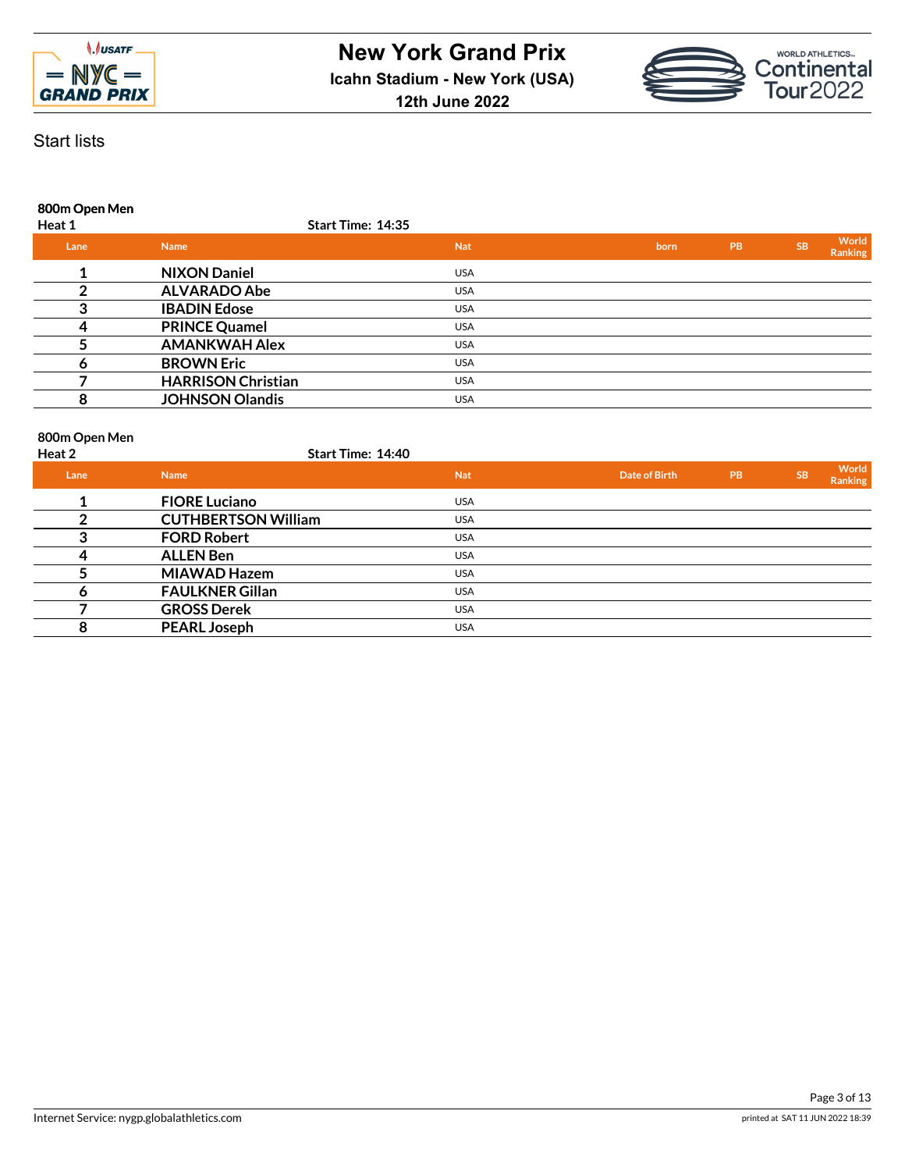



**800m Open Men**

| Heat 1 | Start Time: 14:35         |            |      |           |           |                  |
|--------|---------------------------|------------|------|-----------|-----------|------------------|
| Lane   | <b>Name</b>               | <b>Nat</b> | born | <b>PB</b> | <b>SB</b> | World<br>Ranking |
|        | <b>NIXON Daniel</b>       | <b>USA</b> |      |           |           |                  |
|        | <b>ALVARADO Abe</b>       | <b>USA</b> |      |           |           |                  |
|        | <b>IBADIN Edose</b>       | <b>USA</b> |      |           |           |                  |
|        | <b>PRINCE Quamel</b>      | <b>USA</b> |      |           |           |                  |
|        | <b>AMANKWAH Alex</b>      | <b>USA</b> |      |           |           |                  |
|        | <b>BROWN Eric</b>         | <b>USA</b> |      |           |           |                  |
|        | <b>HARRISON Christian</b> | <b>USA</b> |      |           |           |                  |
|        | <b>JOHNSON Olandis</b>    | <b>USA</b> |      |           |           |                  |
|        |                           |            |      |           |           |                  |

#### **800m Open Men**

| Heat 2 | <b>Start Time: 14:40</b>   |            |                      |           |           |                         |
|--------|----------------------------|------------|----------------------|-----------|-----------|-------------------------|
| Lane   | <b>Name</b>                | <b>Nat</b> | <b>Date of Birth</b> | <b>PB</b> | <b>SB</b> | World<br><b>Ranking</b> |
|        | <b>FIORE Luciano</b>       | <b>USA</b> |                      |           |           |                         |
|        | <b>CUTHBERTSON William</b> | <b>USA</b> |                      |           |           |                         |
| 3      | <b>FORD Robert</b>         | <b>USA</b> |                      |           |           |                         |
| 4      | <b>ALLEN Ben</b>           | <b>USA</b> |                      |           |           |                         |
|        | <b>MIAWAD Hazem</b>        | <b>USA</b> |                      |           |           |                         |
| o      | <b>FAULKNER Gillan</b>     | <b>USA</b> |                      |           |           |                         |
|        | <b>GROSS Derek</b>         | <b>USA</b> |                      |           |           |                         |
| 8      | <b>PEARL Joseph</b>        | <b>USA</b> |                      |           |           |                         |
|        |                            |            |                      |           |           |                         |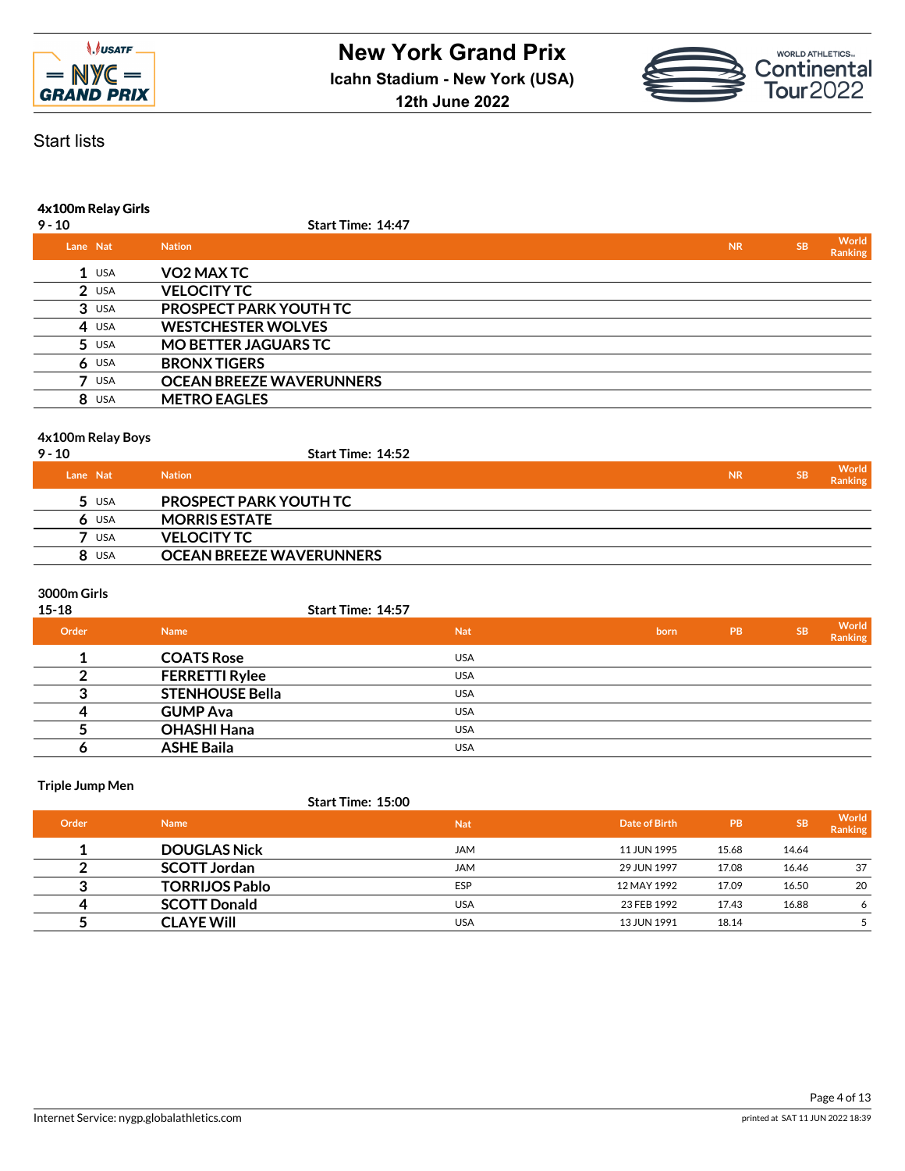



# Start lists

# **4x100m Relay Girls**

| $9 - 10$   | Start Time: 14:47               |           |           |                         |
|------------|---------------------------------|-----------|-----------|-------------------------|
| Lane Nat   | <b>Nation</b>                   | <b>NR</b> | <b>SB</b> | World<br><b>Ranking</b> |
| $1$ USA    | VO2 MAX TC                      |           |           |                         |
| $2$ USA    | <b>VELOCITY TC</b>              |           |           |                         |
| $3$ USA    | PROSPECT PARK YOUTH TC          |           |           |                         |
| $4$ USA    | <b>WESTCHESTER WOLVES</b>       |           |           |                         |
| $5$ USA    | <b>MO BETTER JAGUARS TC</b>     |           |           |                         |
| $6$ USA    | <b>BRONX TIGERS</b>             |           |           |                         |
| <b>USA</b> | <b>OCEAN BREEZE WAVERUNNERS</b> |           |           |                         |
| 8 USA      | <b>METRO EAGLES</b>             |           |           |                         |
|            |                                 |           |           |                         |

#### **4x100m Relay Boys**

| $9 - 10$   | Start Time: 14:52               |           |           |                         |
|------------|---------------------------------|-----------|-----------|-------------------------|
| Lane Nat   | <b>Nation</b>                   | <b>NR</b> | <b>SB</b> | World<br><b>Ranking</b> |
| $5$ USA    | <b>PROSPECT PARK YOUTH TC</b>   |           |           |                         |
| $6$ USA    | <b>MORRIS ESTATE</b>            |           |           |                         |
| <b>USA</b> | <b>VELOCITY TC</b>              |           |           |                         |
| 8 USA      | <b>OCEAN BREEZE WAVERUNNERS</b> |           |           |                         |

## **3000m Girls**

| $15 - 18$ |                        | Start Time: 14:57 |      |           |           |                  |
|-----------|------------------------|-------------------|------|-----------|-----------|------------------|
| Order     | <b>Name</b>            | <b>Nat</b>        | born | <b>PB</b> | <b>SB</b> | World<br>Ranking |
|           | <b>COATS Rose</b>      | <b>USA</b>        |      |           |           |                  |
|           | <b>FERRETTI Rylee</b>  | <b>USA</b>        |      |           |           |                  |
|           | <b>STENHOUSE Bella</b> | <b>USA</b>        |      |           |           |                  |
|           | <b>GUMP Ava</b>        | <b>USA</b>        |      |           |           |                  |
|           | <b>OHASHI Hana</b>     | <b>USA</b>        |      |           |           |                  |
|           | <b>ASHE Baila</b>      | <b>USA</b>        |      |           |           |                  |

#### **Triple Jump Men**

### **Start Time: 15:00**

| <b>Order</b> | <b>Name</b>           | <b>Nat</b> | Date of Birth | <b>PB</b> | <b>SB</b> | World<br><b>Ranking</b> |
|--------------|-----------------------|------------|---------------|-----------|-----------|-------------------------|
|              | <b>DOUGLAS Nick</b>   | JAM        | 11 JUN 1995   | 15.68     | 14.64     |                         |
|              | <b>SCOTT Jordan</b>   | <b>JAM</b> | 29 JUN 1997   | 17.08     | 16.46     | 37                      |
|              | <b>TORRIJOS Pablo</b> | <b>ESP</b> | 12 MAY 1992   | 17.09     | 16.50     | 20                      |
| 4            | <b>SCOTT Donald</b>   | <b>USA</b> | 23 FEB 1992   | 17.43     | 16.88     | 6                       |
|              | <b>CLAYE Will</b>     | <b>USA</b> | 13 JUN 1991   | 18.14     |           |                         |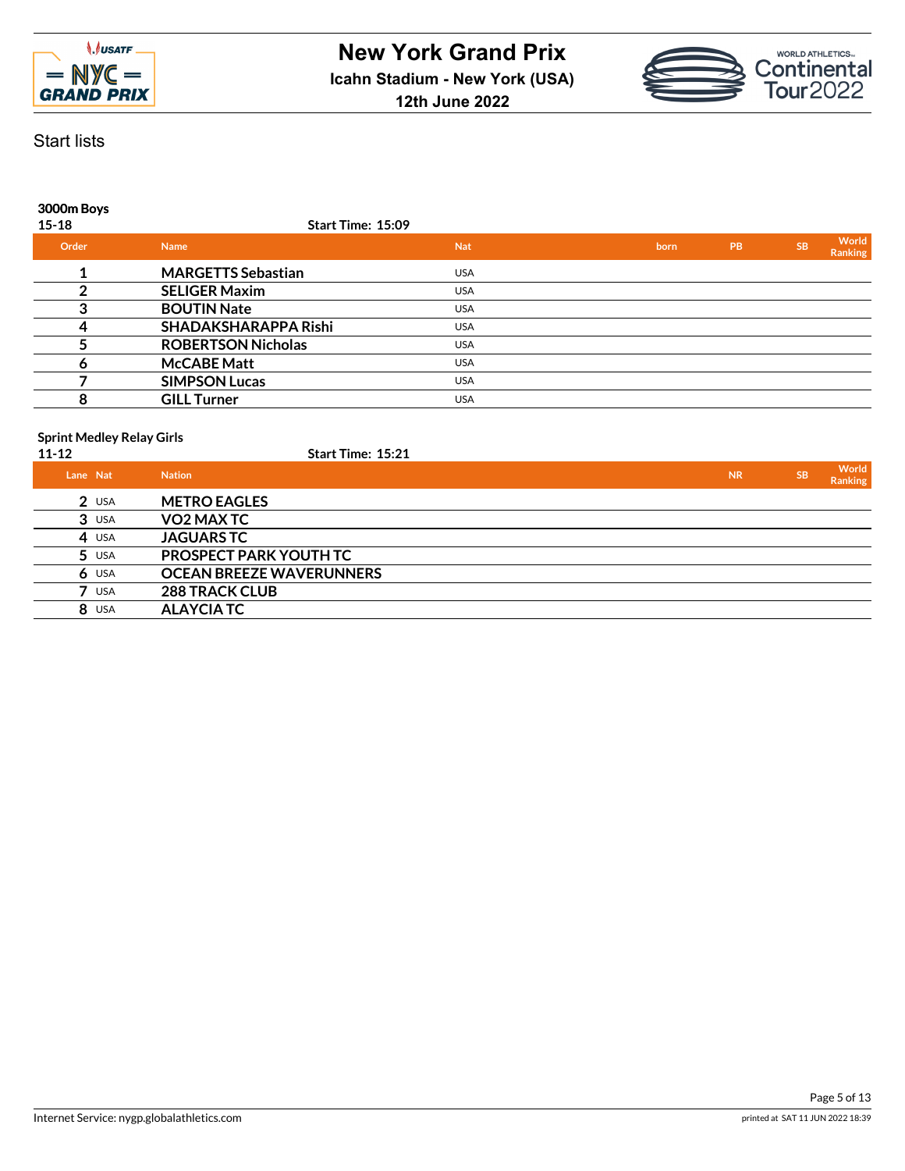



## **3000m Boys**

| $15 - 18$ | Start Time: 15:09         |            |      |    |           |                         |
|-----------|---------------------------|------------|------|----|-----------|-------------------------|
| Order     | <b>Name</b>               | <b>Nat</b> | born | PB | <b>SB</b> | World<br><b>Ranking</b> |
|           | <b>MARGETTS Sebastian</b> | <b>USA</b> |      |    |           |                         |
|           | <b>SELIGER Maxim</b>      | <b>USA</b> |      |    |           |                         |
|           | <b>BOUTIN Nate</b>        | <b>USA</b> |      |    |           |                         |
|           | SHADAKSHARAPPA Rishi      | <b>USA</b> |      |    |           |                         |
|           | <b>ROBERTSON Nicholas</b> | <b>USA</b> |      |    |           |                         |
|           | <b>McCABE Matt</b>        | <b>USA</b> |      |    |           |                         |
|           | <b>SIMPSON Lucas</b>      | <b>USA</b> |      |    |           |                         |
| 8         | <b>GILL Turner</b>        | <b>USA</b> |      |    |           |                         |

#### **Sprint Medley Relay Girls**

| 11-12    | ------- <i>--</i> --- <i>-</i> , -----, ---- | <b>Start Time: 15:21</b>        |           |           |                  |
|----------|----------------------------------------------|---------------------------------|-----------|-----------|------------------|
| Lane Nat |                                              | <b>Nation</b>                   | <b>NR</b> | <b>SB</b> | World<br>Ranking |
|          | $2$ USA                                      | <b>METRO EAGLES</b>             |           |           |                  |
|          | $3$ USA                                      | VO2 MAX TC                      |           |           |                  |
|          | 4 USA                                        | <b>JAGUARS TC</b>               |           |           |                  |
|          | $5$ USA                                      | PROSPECT PARK YOUTH TC          |           |           |                  |
| 6        | USA                                          | <b>OCEAN BREEZE WAVERUNNERS</b> |           |           |                  |
|          | USA                                          | <b>288 TRACK CLUB</b>           |           |           |                  |
|          | 8 USA                                        | <b>ALAYCIA TC</b>               |           |           |                  |
|          |                                              |                                 |           |           |                  |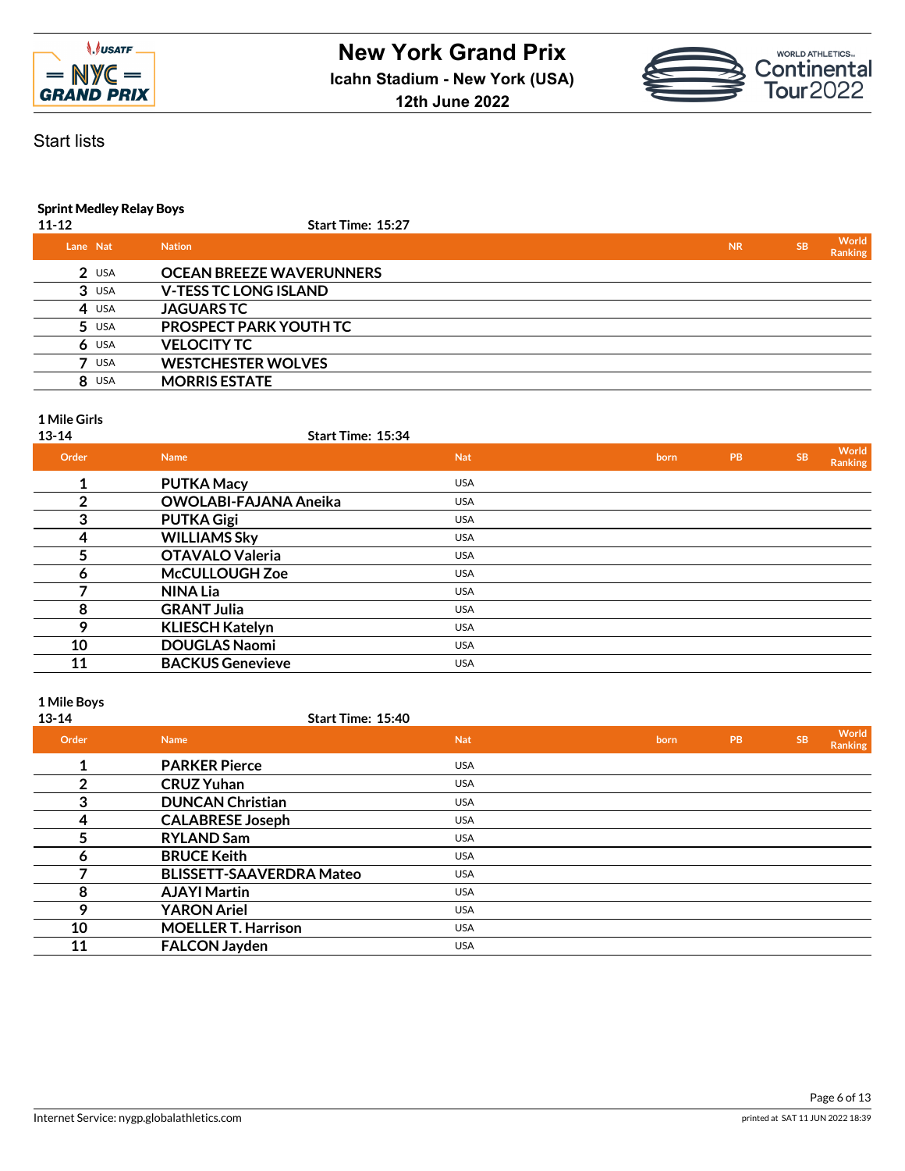



# Start lists

# **Sprint Medley Relay Boys**

| $11 - 12$ | Start Time: 15:27               |           |           |                         |
|-----------|---------------------------------|-----------|-----------|-------------------------|
| Lane Nat  | <b>Nation</b>                   | <b>NR</b> | <b>SB</b> | World<br><b>Ranking</b> |
| $2$ USA   | <b>OCEAN BREEZE WAVERUNNERS</b> |           |           |                         |
| $3$ USA   | <b>V-TESS TC LONG ISLAND</b>    |           |           |                         |
| 4 USA     | <b>JAGUARSTC</b>                |           |           |                         |
| $5$ USA   | PROSPECT PARK YOUTH TC          |           |           |                         |
| $6$ USA   | <b>VELOCITY TC</b>              |           |           |                         |
| USA       | <b>WESTCHESTER WOLVES</b>       |           |           |                         |
| 8 USA     | <b>MORRIS ESTATE</b>            |           |           |                         |
|           |                                 |           |           |                         |

### **1 Mile Girls**

**13-14 Start Time: 15:34**

| Order | <b>Name</b>                  | <b>Nat</b> | born | <b>PB</b> | <b>SB</b> | World<br>Ranking |
|-------|------------------------------|------------|------|-----------|-----------|------------------|
| 1     | <b>PUTKA Macy</b>            | <b>USA</b> |      |           |           |                  |
| າ     | <b>OWOLABI-FAJANA Aneika</b> | <b>USA</b> |      |           |           |                  |
| 3     | <b>PUTKA Gigi</b>            | <b>USA</b> |      |           |           |                  |
| 4     | <b>WILLIAMS Sky</b>          | <b>USA</b> |      |           |           |                  |
| 5     | <b>OTAVALO Valeria</b>       | <b>USA</b> |      |           |           |                  |
| Ô     | <b>McCULLOUGH Zoe</b>        | <b>USA</b> |      |           |           |                  |
|       | <b>NINA Lia</b>              | <b>USA</b> |      |           |           |                  |
| 8     | <b>GRANT Julia</b>           | <b>USA</b> |      |           |           |                  |
| 9     | <b>KLIESCH Katelyn</b>       | <b>USA</b> |      |           |           |                  |
| 10    | <b>DOUGLAS Naomi</b>         | <b>USA</b> |      |           |           |                  |
| 11    | <b>BACKUS Genevieve</b>      | <b>USA</b> |      |           |           |                  |

# **1 Mile Boys**

| $13 - 14$ | Start Time: 15:40               |            |      |           |           |                  |
|-----------|---------------------------------|------------|------|-----------|-----------|------------------|
| Order     | <b>Name</b>                     | <b>Nat</b> | born | <b>PB</b> | <b>SB</b> | World<br>Ranking |
| 1         | <b>PARKER Pierce</b>            | <b>USA</b> |      |           |           |                  |
| 2         | <b>CRUZ Yuhan</b>               | <b>USA</b> |      |           |           |                  |
| 3         | <b>DUNCAN Christian</b>         | <b>USA</b> |      |           |           |                  |
| 4         | <b>CALABRESE Joseph</b>         | <b>USA</b> |      |           |           |                  |
| 5         | <b>RYLAND Sam</b>               | <b>USA</b> |      |           |           |                  |
| 6         | <b>BRUCE Keith</b>              | <b>USA</b> |      |           |           |                  |
|           | <b>BLISSETT-SAAVERDRA Mateo</b> | <b>USA</b> |      |           |           |                  |
| 8         | <b>AJAYI Martin</b>             | <b>USA</b> |      |           |           |                  |
| Ο         | <b>YARON Ariel</b>              | <b>USA</b> |      |           |           |                  |
| 10        | <b>MOELLER T. Harrison</b>      | <b>USA</b> |      |           |           |                  |
| 11        | <b>FALCON Jayden</b>            | <b>USA</b> |      |           |           |                  |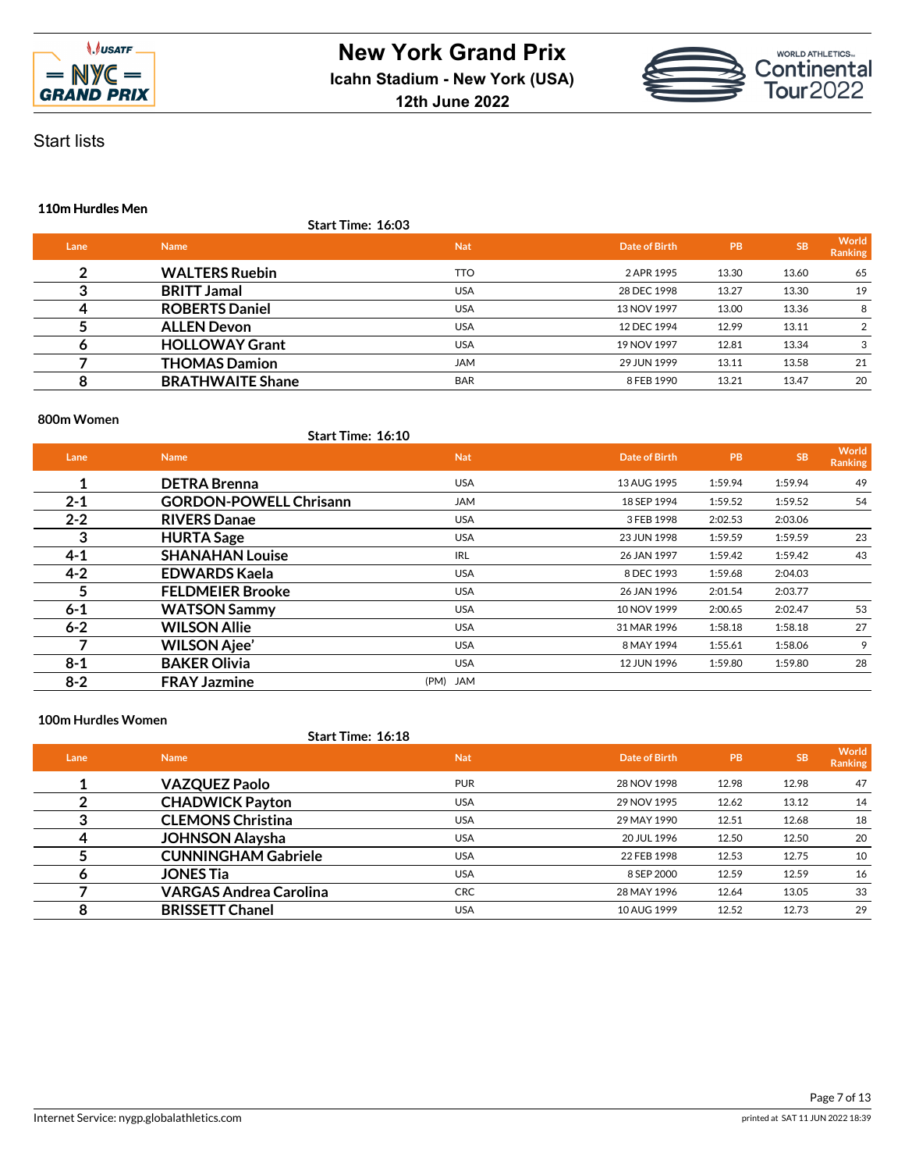



# Start lists

### **110m Hurdles Men**

|      | Start Time: 16:03       |            |               |           |           |                         |
|------|-------------------------|------------|---------------|-----------|-----------|-------------------------|
| Lane | <b>Name</b>             | <b>Nat</b> | Date of Birth | <b>PB</b> | <b>SB</b> | World<br><b>Ranking</b> |
| ົ    | <b>WALTERS Ruebin</b>   | <b>TTO</b> | 2 APR 1995    | 13.30     | 13.60     | 65                      |
|      | <b>BRITT Jamal</b>      | <b>USA</b> | 28 DEC 1998   | 13.27     | 13.30     | 19                      |
|      | <b>ROBERTS Daniel</b>   | <b>USA</b> | 13 NOV 1997   | 13.00     | 13.36     | 8                       |
|      | <b>ALLEN Devon</b>      | <b>USA</b> | 12 DEC 1994   | 12.99     | 13.11     | $\overline{2}$          |
|      | <b>HOLLOWAY Grant</b>   | <b>USA</b> | 19 NOV 1997   | 12.81     | 13.34     | 3                       |
|      | <b>THOMAS Damion</b>    | <b>JAM</b> | 29 JUN 1999   | 13.11     | 13.58     | 21                      |
| 8    | <b>BRATHWAITE Shane</b> | <b>BAR</b> | 8 FEB 1990    | 13.21     | 13.47     | 20                      |

#### **800m Women**

# **Start Time: 16:10**

| Lane    | <b>Name</b>                   | <b>Nat</b> | Date of Birth | <b>PB</b> | <b>SB</b> | World<br><b>Ranking</b> |
|---------|-------------------------------|------------|---------------|-----------|-----------|-------------------------|
| 1       | <b>DETRA Brenna</b>           | <b>USA</b> | 13 AUG 1995   | 1:59.94   | 1:59.94   | 49                      |
| $2 - 1$ | <b>GORDON-POWELL Chrisann</b> | <b>JAM</b> | 18 SEP 1994   | 1:59.52   | 1:59.52   | 54                      |
| $2 - 2$ | <b>RIVERS Danae</b>           | <b>USA</b> | 3 FEB 1998    | 2:02.53   | 2:03.06   |                         |
| 3       | <b>HURTA Sage</b>             | <b>USA</b> | 23 JUN 1998   | 1:59.59   | 1:59.59   | 23                      |
| $4 - 1$ | <b>SHANAHAN Louise</b>        | <b>IRL</b> | 26 JAN 1997   | 1:59.42   | 1:59.42   | 43                      |
| $4 - 2$ | <b>EDWARDS Kaela</b>          | <b>USA</b> | 8 DEC 1993    | 1:59.68   | 2:04.03   |                         |
| 5       | <b>FELDMEIER Brooke</b>       | <b>USA</b> | 26 JAN 1996   | 2:01.54   | 2:03.77   |                         |
| $6 - 1$ | <b>WATSON Sammy</b>           | <b>USA</b> | 10 NOV 1999   | 2:00.65   | 2:02.47   | 53                      |
| $6 - 2$ | <b>WILSON Allie</b>           | <b>USA</b> | 31 MAR 1996   | 1:58.18   | 1:58.18   | 27                      |
|         | <b>WILSON Ajee'</b>           | <b>USA</b> | 8 MAY 1994    | 1:55.61   | 1:58.06   | 9                       |
| $8 - 1$ | <b>BAKER Olivia</b>           | <b>USA</b> | 12 JUN 1996   | 1:59.80   | 1:59.80   | 28                      |
| $8 - 2$ | <b>FRAY Jazmine</b>           | (PM) JAM   |               |           |           |                         |

#### **100m Hurdles Women**

#### **Start Time: 16:18**

| Lane | <b>Name</b>                   | <b>Nat</b> | Date of Birth | <b>PB</b> | <b>SB</b> | World<br>Ranking |
|------|-------------------------------|------------|---------------|-----------|-----------|------------------|
|      | <b>VAZQUEZ Paolo</b>          | <b>PUR</b> | 28 NOV 1998   | 12.98     | 12.98     | 47               |
|      | <b>CHADWICK Payton</b>        | <b>USA</b> | 29 NOV 1995   | 12.62     | 13.12     | 14               |
|      | <b>CLEMONS Christina</b>      | <b>USA</b> | 29 MAY 1990   | 12.51     | 12.68     | 18               |
| 4    | <b>JOHNSON Alaysha</b>        | <b>USA</b> | 20 JUL 1996   | 12.50     | 12.50     | 20               |
|      | <b>CUNNINGHAM Gabriele</b>    | <b>USA</b> | 22 FEB 1998   | 12.53     | 12.75     | 10               |
| о    | <b>JONES Tia</b>              | <b>USA</b> | 8 SEP 2000    | 12.59     | 12.59     | 16               |
|      | <b>VARGAS Andrea Carolina</b> | <b>CRC</b> | 28 MAY 1996   | 12.64     | 13.05     | 33               |
| 8    | <b>BRISSETT Chanel</b>        | <b>USA</b> | 10 AUG 1999   | 12.52     | 12.73     | 29               |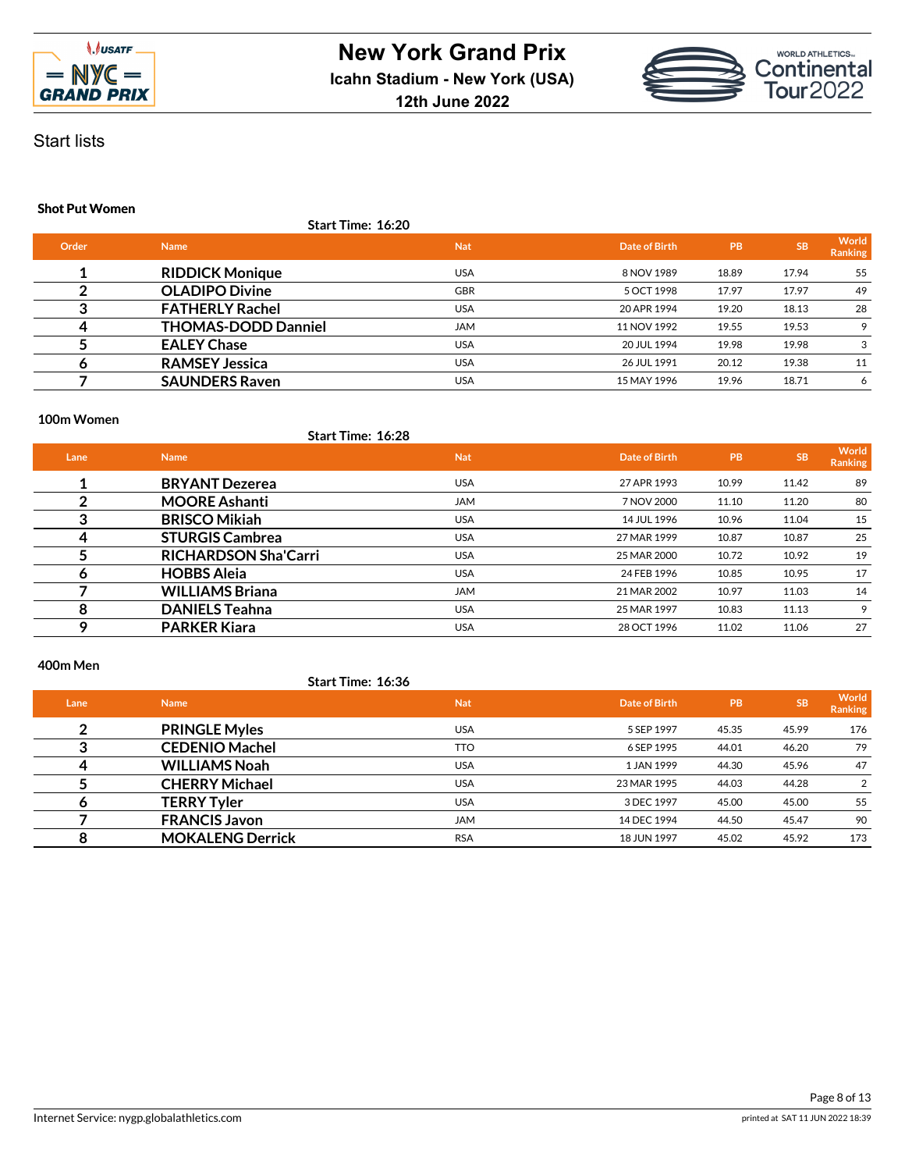



# Start lists

## **Shot Put Women**

|                      | <b>Start Time: 16:20</b>   |            |               |           |           |                         |
|----------------------|----------------------------|------------|---------------|-----------|-----------|-------------------------|
| Order<br><b>Name</b> |                            | <b>Nat</b> | Date of Birth | <b>PB</b> | <b>SB</b> | World<br><b>Ranking</b> |
|                      | <b>RIDDICK Monique</b>     | <b>USA</b> | 8 NOV 1989    | 18.89     | 17.94     | 55                      |
|                      | <b>OLADIPO Divine</b>      | <b>GBR</b> | 5 OCT 1998    | 17.97     | 17.97     | 49                      |
|                      | <b>FATHERLY Rachel</b>     | <b>USA</b> | 20 APR 1994   | 19.20     | 18.13     | 28                      |
|                      | <b>THOMAS-DODD Danniel</b> | <b>JAM</b> | 11 NOV 1992   | 19.55     | 19.53     | 9                       |
|                      | <b>EALEY Chase</b>         | <b>USA</b> | 20 JUL 1994   | 19.98     | 19.98     | 3                       |
|                      | <b>RAMSEY Jessica</b>      | <b>USA</b> | 26 JUL 1991   | 20.12     | 19.38     | 11                      |
|                      | <b>SAUNDERS Raven</b>      | <b>USA</b> | 15 MAY 1996   | 19.96     | 18.71     | 6                       |

#### **100m Women**

# **Start Time: 16:28**

| Date of Birth | <b>PB</b> | <b>SB</b> | World<br>Ranking |
|---------------|-----------|-----------|------------------|
| 27 APR 1993   | 10.99     | 11.42     | 89               |
| 7 NOV 2000    | 11.10     | 11.20     | 80               |
| 14 JUL 1996   | 10.96     | 11.04     | 15               |
| 27 MAR 1999   | 10.87     | 10.87     | 25               |
| 25 MAR 2000   | 10.72     | 10.92     | 19               |
| 24 FEB 1996   | 10.85     | 10.95     | 17               |
| 21 MAR 2002   | 10.97     | 11.03     | 14               |
| 25 MAR 1997   | 10.83     | 11.13     | 9                |
| 28 OCT 1996   | 11.02     | 11.06     | 27               |
|               |           |           |                  |

#### **400m Men**

# **Start Time: 16:36**

| Lane | <b>Name</b>             | <b>Nat</b> | Date of Birth | <b>PB</b> | <b>SB</b> | World<br>Ranking |
|------|-------------------------|------------|---------------|-----------|-----------|------------------|
| ົ    | <b>PRINGLE Myles</b>    | <b>USA</b> | 5 SEP 1997    | 45.35     | 45.99     | 176              |
|      | <b>CEDENIO Machel</b>   | <b>TTO</b> | 6 SEP 1995    | 44.01     | 46.20     | 79               |
|      | <b>WILLIAMS Noah</b>    | <b>USA</b> | 1 JAN 1999    | 44.30     | 45.96     | 47               |
|      | <b>CHERRY Michael</b>   | USA        | 23 MAR 1995   | 44.03     | 44.28     | $\mathfrak{p}$   |
| О    | <b>TERRY Tyler</b>      | <b>USA</b> | 3 DEC 1997    | 45.00     | 45.00     | 55               |
|      | <b>FRANCIS Javon</b>    | <b>JAM</b> | 14 DEC 1994   | 44.50     | 45.47     | 90               |
|      | <b>MOKALENG Derrick</b> | <b>RSA</b> | 18 JUN 1997   | 45.02     | 45.92     | 173              |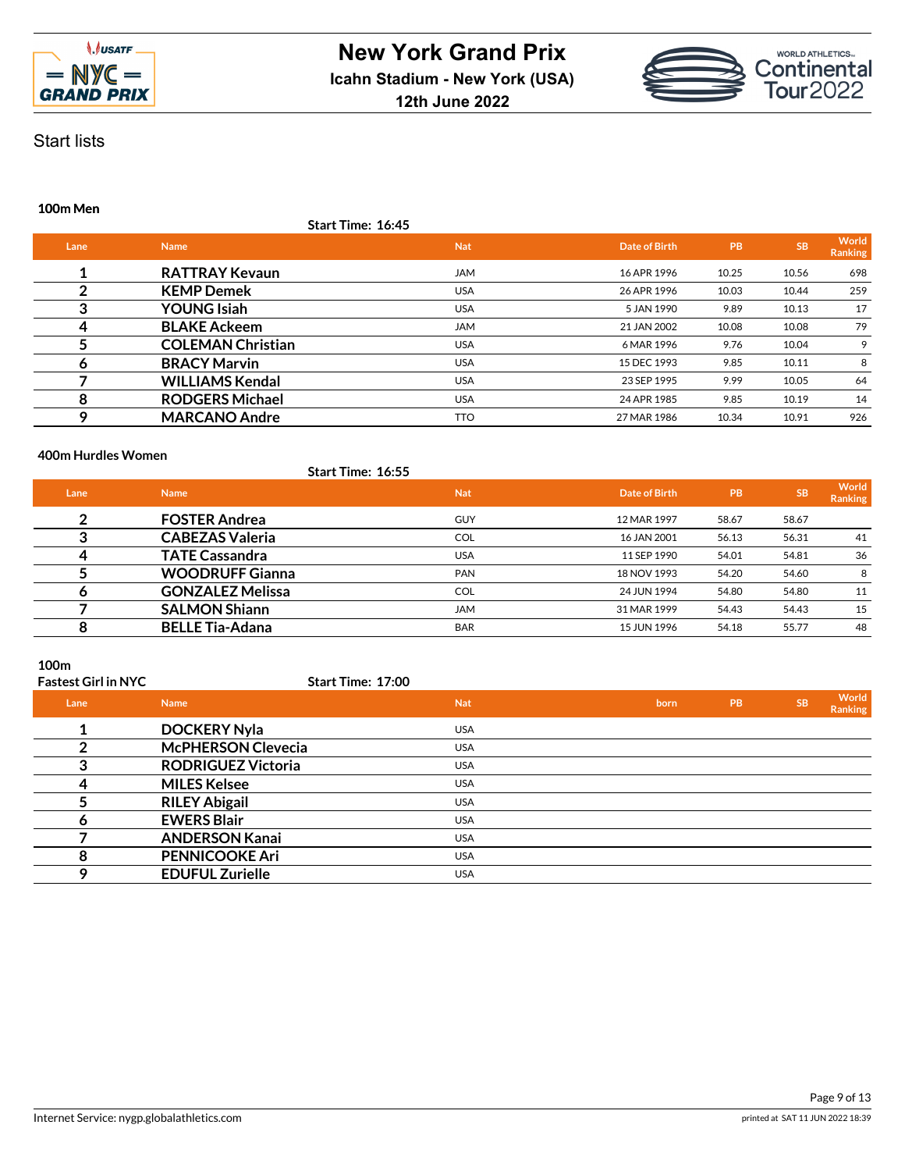



# Start lists

### **100m Men**

|      |                          | Start Time: 16:45 |               |       |           |                         |
|------|--------------------------|-------------------|---------------|-------|-----------|-------------------------|
| Lane | <b>Name</b>              | <b>Nat</b>        | Date of Birth | PB    | <b>SB</b> | World<br><b>Ranking</b> |
|      | <b>RATTRAY Kevaun</b>    | <b>JAM</b>        | 16 APR 1996   | 10.25 | 10.56     | 698                     |
|      | <b>KEMP Demek</b>        | <b>USA</b>        | 26 APR 1996   | 10.03 | 10.44     | 259                     |
| 3    | <b>YOUNG Isiah</b>       | <b>USA</b>        | 5 JAN 1990    | 9.89  | 10.13     | 17                      |
| 4    | <b>BLAKE Ackeem</b>      | <b>JAM</b>        | 21 JAN 2002   | 10.08 | 10.08     | 79                      |
|      | <b>COLEMAN Christian</b> | <b>USA</b>        | 6 MAR 1996    | 9.76  | 10.04     | 9                       |
| Ô    | <b>BRACY Marvin</b>      | <b>USA</b>        | 15 DEC 1993   | 9.85  | 10.11     | 8                       |
|      | <b>WILLIAMS Kendal</b>   | <b>USA</b>        | 23 SEP 1995   | 9.99  | 10.05     | 64                      |
| 8    | <b>RODGERS Michael</b>   | <b>USA</b>        | 24 APR 1985   | 9.85  | 10.19     | 14                      |
| Q    | <b>MARCANO Andre</b>     | <b>TTO</b>        | 27 MAR 1986   | 10.34 | 10.91     | 926                     |

### **400m Hurdles Women**

|      |                         | Start Time: 16:55 |               |       |           |                         |
|------|-------------------------|-------------------|---------------|-------|-----------|-------------------------|
| Lane | <b>Name</b>             | <b>Nat</b>        | Date of Birth | PB    | <b>SB</b> | World<br><b>Ranking</b> |
| າ    | <b>FOSTER Andrea</b>    | <b>GUY</b>        | 12 MAR 1997   | 58.67 | 58.67     |                         |
|      | <b>CABEZAS Valeria</b>  | <b>COL</b>        | 16 JAN 2001   | 56.13 | 56.31     | 41                      |
|      | <b>TATE Cassandra</b>   | <b>USA</b>        | 11 SEP 1990   | 54.01 | 54.81     | 36                      |
|      | <b>WOODRUFF Gianna</b>  | <b>PAN</b>        | 18 NOV 1993   | 54.20 | 54.60     | 8                       |
| o    | <b>GONZALEZ Melissa</b> | <b>COL</b>        | 24 JUN 1994   | 54.80 | 54.80     | 11                      |
|      | <b>SALMON Shiann</b>    | <b>JAM</b>        | 31 MAR 1999   | 54.43 | 54.43     | 15                      |
|      | <b>BELLE Tia-Adana</b>  | <b>BAR</b>        | 15 JUN 1996   | 54.18 | 55.77     | 48                      |

### **100m**

# **Fastest Girl in NYC**

| Lane | <b>Name</b>               | <b>Nat</b> | born | PB | <b>SB</b> | World<br>Ranking |
|------|---------------------------|------------|------|----|-----------|------------------|
|      | <b>DOCKERY Nyla</b>       | <b>USA</b> |      |    |           |                  |
|      | <b>McPHERSON Clevecia</b> | <b>USA</b> |      |    |           |                  |
|      | <b>RODRIGUEZ Victoria</b> | <b>USA</b> |      |    |           |                  |
| ⊿    | <b>MILES Kelsee</b>       | <b>USA</b> |      |    |           |                  |
|      | <b>RILEY Abigail</b>      | <b>USA</b> |      |    |           |                  |
| O    | <b>EWERS Blair</b>        | <b>USA</b> |      |    |           |                  |
|      | <b>ANDERSON Kanai</b>     | <b>USA</b> |      |    |           |                  |
| 8    | <b>PENNICOOKE Ari</b>     | <b>USA</b> |      |    |           |                  |
| Q    | <b>EDUFUL Zurielle</b>    | <b>USA</b> |      |    |           |                  |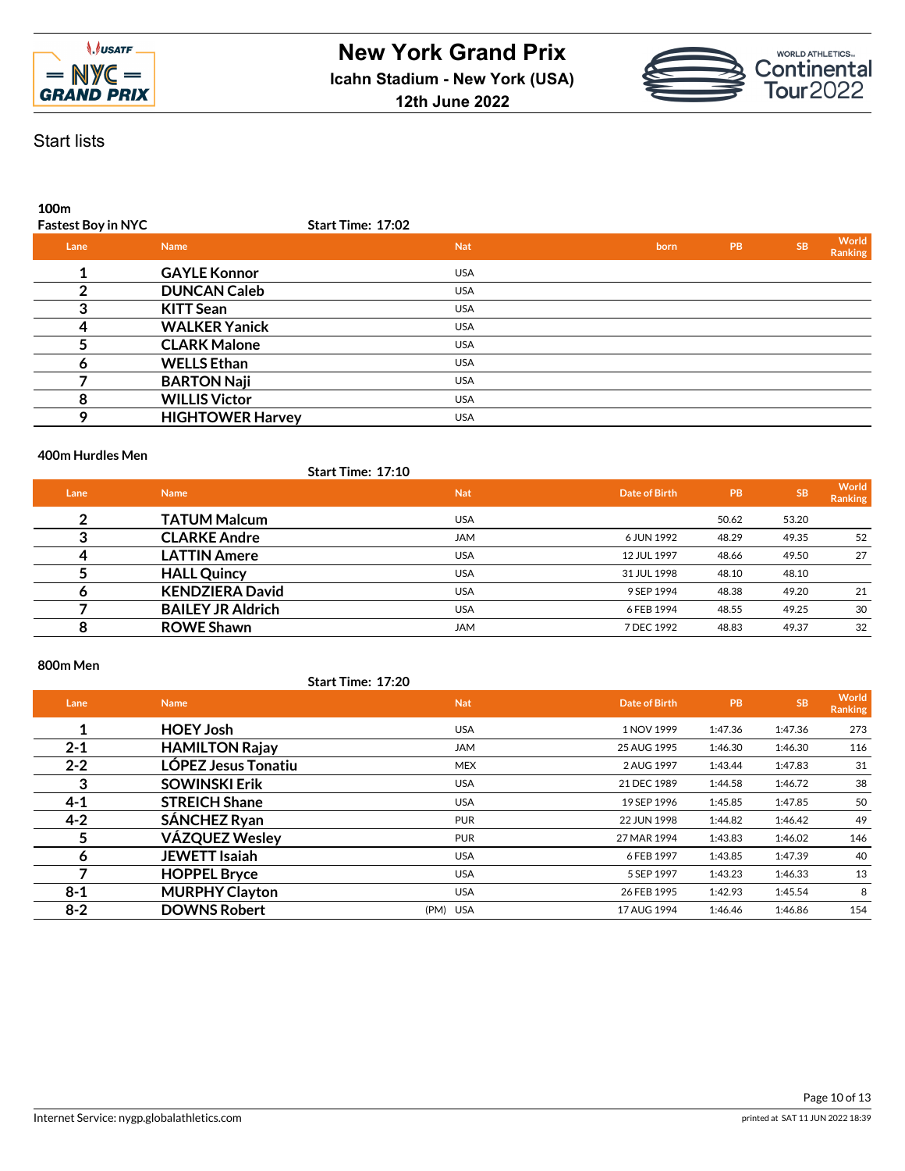



**100m**

| <b>Fastest Boy in NYC</b> |                         | Start Time: 17:02 |      |    |           |                         |
|---------------------------|-------------------------|-------------------|------|----|-----------|-------------------------|
| Lane                      | <b>Name</b>             | <b>Nat</b>        | born | PB | <b>SB</b> | World<br><b>Ranking</b> |
|                           | <b>GAYLE Konnor</b>     | <b>USA</b>        |      |    |           |                         |
|                           | <b>DUNCAN Caleb</b>     | <b>USA</b>        |      |    |           |                         |
| 3                         | <b>KITT Sean</b>        | <b>USA</b>        |      |    |           |                         |
|                           | <b>WALKER Yanick</b>    | <b>USA</b>        |      |    |           |                         |
|                           | <b>CLARK Malone</b>     | <b>USA</b>        |      |    |           |                         |
| o                         | <b>WELLS Ethan</b>      | <b>USA</b>        |      |    |           |                         |
|                           | <b>BARTON Naji</b>      | <b>USA</b>        |      |    |           |                         |
| 8                         | <b>WILLIS Victor</b>    | <b>USA</b>        |      |    |           |                         |
| Q                         | <b>HIGHTOWER Harvey</b> | <b>USA</b>        |      |    |           |                         |
|                           |                         |                   |      |    |           |                         |

### **400m Hurdles Men**

|      |                          | <b>Start Time: 17:10</b> |               |           |           |                  |
|------|--------------------------|--------------------------|---------------|-----------|-----------|------------------|
| Lane | <b>Name</b>              | <b>Nat</b>               | Date of Birth | <b>PB</b> | <b>SB</b> | World<br>Ranking |
| ົ    | <b>TATUM Malcum</b>      | <b>USA</b>               |               | 50.62     | 53.20     |                  |
| ≏    | <b>CLARKE Andre</b>      | <b>JAM</b>               | 6 JUN 1992    | 48.29     | 49.35     | 52               |
|      | <b>LATTIN Amere</b>      | <b>USA</b>               | 12 JUL 1997   | 48.66     | 49.50     | 27               |
|      | <b>HALL Quincy</b>       | <b>USA</b>               | 31 JUL 1998   | 48.10     | 48.10     |                  |
| o    | <b>KENDZIERA David</b>   | <b>USA</b>               | 9 SEP 1994    | 48.38     | 49.20     | 21               |
|      | <b>BAILEY JR Aldrich</b> | <b>USA</b>               | 6 FEB 1994    | 48.55     | 49.25     | 30               |
| 8    | <b>ROWE Shawn</b>        | <b>JAM</b>               | 7 DEC 1992    | 48.83     | 49.37     | 32               |

### **800m Men**

**Start Time: 17:20**

| Lane    | <b>Name</b>           | <b>Nat</b> | Date of Birth | <b>PB</b> | <b>SB</b> | World<br><b>Ranking</b> |
|---------|-----------------------|------------|---------------|-----------|-----------|-------------------------|
|         | <b>HOEY Josh</b>      | <b>USA</b> | 1 NOV 1999    | 1:47.36   | 1:47.36   | 273                     |
| $2 - 1$ | <b>HAMILTON Rajay</b> | <b>JAM</b> | 25 AUG 1995   | 1:46.30   | 1:46.30   | 116                     |
| $2 - 2$ | LÓPEZ Jesus Tonatiu   | <b>MEX</b> | 2 AUG 1997    | 1:43.44   | 1:47.83   | 31                      |
| 3       | <b>SOWINSKI Erik</b>  | <b>USA</b> | 21 DEC 1989   | 1:44.58   | 1:46.72   | 38                      |
| $4 - 1$ | <b>STREICH Shane</b>  | <b>USA</b> | 19 SEP 1996   | 1:45.85   | 1:47.85   | 50                      |
| $4 - 2$ | <b>SÁNCHEZ Ryan</b>   | <b>PUR</b> | 22 JUN 1998   | 1:44.82   | 1:46.42   | 49                      |
| 5       | <b>VÁZQUEZ Wesley</b> | <b>PUR</b> | 27 MAR 1994   | 1:43.83   | 1:46.02   | 146                     |
| 6       | <b>JEWETT Isaiah</b>  | <b>USA</b> | 6 FEB 1997    | 1:43.85   | 1:47.39   | 40                      |
|         | <b>HOPPEL Bryce</b>   | <b>USA</b> | 5 SEP 1997    | 1:43.23   | 1:46.33   | 13                      |
| $8 - 1$ | <b>MURPHY Clayton</b> | <b>USA</b> | 26 FEB 1995   | 1:42.93   | 1:45.54   | 8                       |
| $8 - 2$ | <b>DOWNS Robert</b>   | (PM) USA   | 17 AUG 1994   | 1:46.46   | 1:46.86   | 154                     |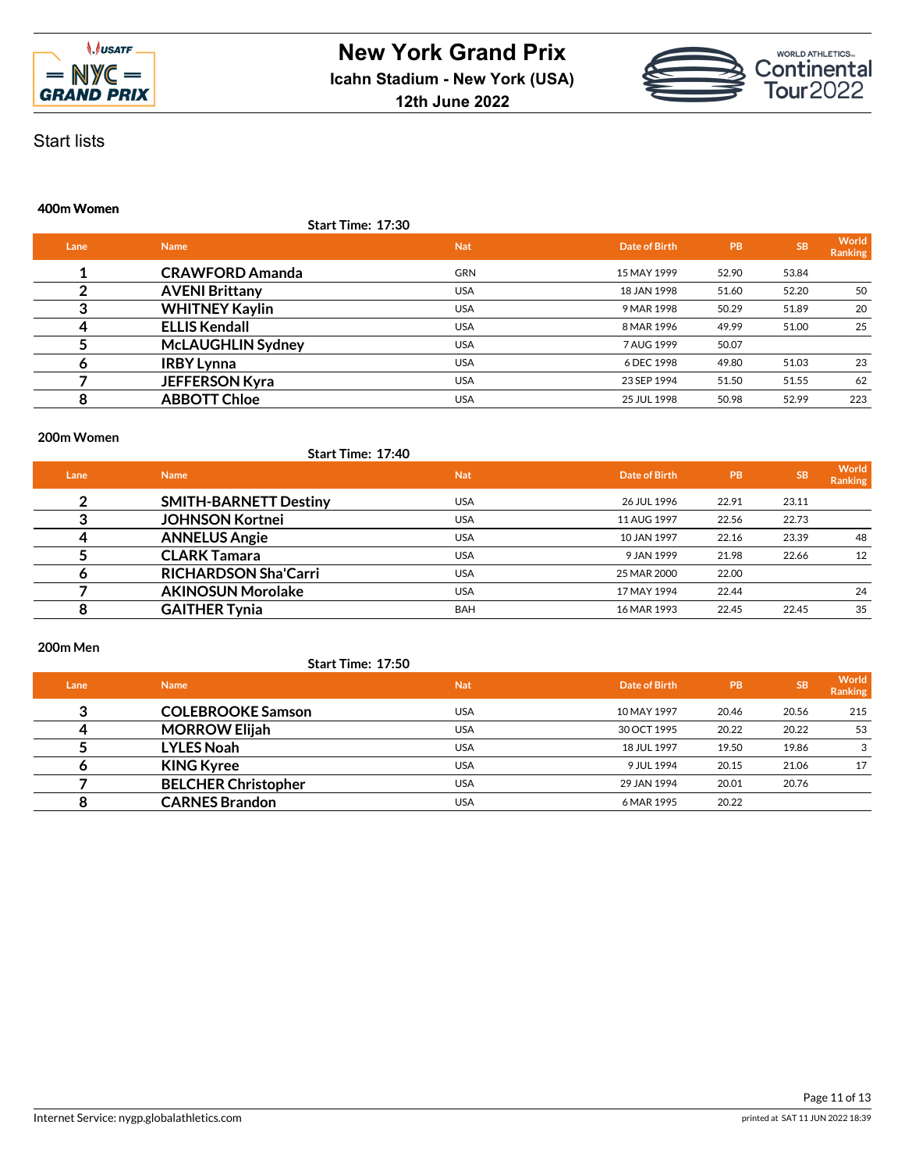



Start lists

#### **400m Women**

|      | <b>Start Time: 17:30</b> |            |               |       |           |                         |
|------|--------------------------|------------|---------------|-------|-----------|-------------------------|
| Lane | <b>Name</b>              | <b>Nat</b> | Date of Birth | PB    | <b>SB</b> | World<br><b>Ranking</b> |
|      | <b>CRAWFORD Amanda</b>   | <b>GRN</b> | 15 MAY 1999   | 52.90 | 53.84     |                         |
|      | <b>AVENI Brittany</b>    | <b>USA</b> | 18 JAN 1998   | 51.60 | 52.20     | 50                      |
| 3    | <b>WHITNEY Kaylin</b>    | <b>USA</b> | 9 MAR 1998    | 50.29 | 51.89     | 20                      |
| 4    | <b>ELLIS Kendall</b>     | <b>USA</b> | 8 MAR 1996    | 49.99 | 51.00     | 25                      |
|      | <b>McLAUGHLIN Sydney</b> | <b>USA</b> | 7 AUG 1999    | 50.07 |           |                         |
| o    | <b>IRBY Lynna</b>        | <b>USA</b> | 6 DEC 1998    | 49.80 | 51.03     | 23                      |
|      | <b>JEFFERSON Kyra</b>    | <b>USA</b> | 23 SEP 1994   | 51.50 | 51.55     | 62                      |
| 8    | <b>ABBOTT Chloe</b>      | <b>USA</b> | 25 JUL 1998   | 50.98 | 52.99     | 223                     |

#### **200m Women**

|      | Start Time: 17:40            |            |               |       |           |                         |
|------|------------------------------|------------|---------------|-------|-----------|-------------------------|
| Lane | <b>Name</b>                  | <b>Nat</b> | Date of Birth | l PB' | <b>SB</b> | World<br><b>Ranking</b> |
| ົ    | <b>SMITH-BARNETT Destiny</b> | <b>USA</b> | 26 JUL 1996   | 22.91 | 23.11     |                         |
|      | <b>JOHNSON Kortnei</b>       | <b>USA</b> | 11 AUG 1997   | 22.56 | 22.73     |                         |
|      | <b>ANNELUS Angie</b>         | <b>USA</b> | 10 JAN 1997   | 22.16 | 23.39     | 48                      |
|      | <b>CLARK Tamara</b>          | <b>USA</b> | 9 JAN 1999    | 21.98 | 22.66     | 12                      |
| o    | <b>RICHARDSON Sha'Carri</b>  | <b>USA</b> | 25 MAR 2000   | 22.00 |           |                         |
|      | <b>AKINOSUN Morolake</b>     | <b>USA</b> | 17 MAY 1994   | 22.44 |           | 24                      |
| 8    | <b>GAITHER Tynia</b>         | <b>BAH</b> | 16 MAR 1993   | 22.45 | 22.45     | 35                      |

#### **200m Men**

**Start Time: 17:50**

| Lane | <b>Name</b>                | <b>Nat</b> | Date of Birth | <b>PB</b> | <b>SB</b> | World<br><b>Ranking</b> |
|------|----------------------------|------------|---------------|-----------|-----------|-------------------------|
| ≏    | <b>COLEBROOKE Samson</b>   | <b>USA</b> | 10 MAY 1997   | 20.46     | 20.56     | 215                     |
| 4    | <b>MORROW Elijah</b>       | <b>USA</b> | 30 OCT 1995   | 20.22     | 20.22     | 53                      |
|      | <b>LYLES Noah</b>          | <b>USA</b> | 18 JUL 1997   | 19.50     | 19.86     | 3                       |
|      | <b>KING Kyree</b>          | <b>USA</b> | 9 JUL 1994    | 20.15     | 21.06     | 17                      |
|      | <b>BELCHER Christopher</b> | <b>USA</b> | 29 JAN 1994   | 20.01     | 20.76     |                         |
|      | <b>CARNES Brandon</b>      | <b>USA</b> | 6 MAR 1995    | 20.22     |           |                         |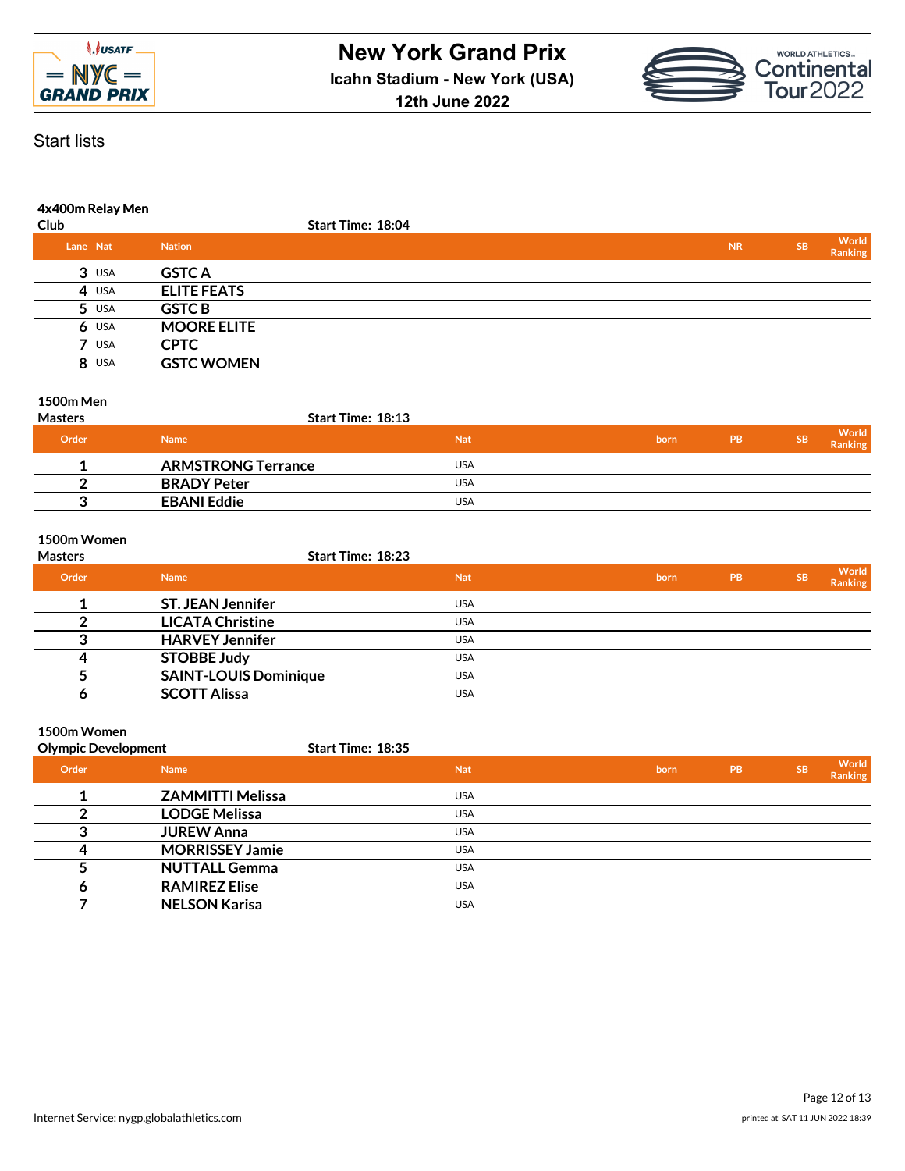



# Start lists

# **4x400m Relay Men**

| Club |            |                    | Start Time: 18:04 |  |  |           |           |                  |
|------|------------|--------------------|-------------------|--|--|-----------|-----------|------------------|
|      | Lane Nat   | <b>Nation</b>      |                   |  |  | <b>NR</b> | <b>SB</b> | World<br>Ranking |
|      | $3$ USA    | <b>GSTC A</b>      |                   |  |  |           |           |                  |
|      | 4 USA      | <b>ELITE FEATS</b> |                   |  |  |           |           |                  |
|      | $5$ USA    | <b>GSTC B</b>      |                   |  |  |           |           |                  |
|      | $6$ USA    | <b>MOORE ELITE</b> |                   |  |  |           |           |                  |
|      | <b>USA</b> | <b>CPTC</b>        |                   |  |  |           |           |                  |
|      | 8 USA      | <b>GSTC WOMEN</b>  |                   |  |  |           |           |                  |
|      |            |                    |                   |  |  |           |           |                  |

### **1500m Men**

| <b>Masters</b> | <b>Start Time: 18:13</b>  |            |      |           |           |                  |
|----------------|---------------------------|------------|------|-----------|-----------|------------------|
| Order          | <b>Name</b>               | <b>Nat</b> | born | <b>PB</b> | <b>SB</b> | World<br>Ranking |
|                | <b>ARMSTRONG Terrance</b> | USA        |      |           |           |                  |
|                | <b>BRADY Peter</b>        | USA        |      |           |           |                  |
|                | <b>EBANI Eddie</b>        | USA        |      |           |           |                  |

### **1500m Women**

| <b>Masters</b> |                              | <b>Start Time: 18:23</b> |      |           |           |                         |
|----------------|------------------------------|--------------------------|------|-----------|-----------|-------------------------|
| Order          | <b>Name</b>                  | <b>Nat</b>               | born | <b>PB</b> | <b>SB</b> | World<br><b>Ranking</b> |
|                | <b>ST. JEAN Jennifer</b>     | <b>USA</b>               |      |           |           |                         |
|                | <b>LICATA Christine</b>      | <b>USA</b>               |      |           |           |                         |
|                | <b>HARVEY Jennifer</b>       | <b>USA</b>               |      |           |           |                         |
|                | <b>STOBBE Judy</b>           | <b>USA</b>               |      |           |           |                         |
|                | <b>SAINT-LOUIS Dominique</b> | <b>USA</b>               |      |           |           |                         |
|                | <b>SCOTT Alissa</b>          | <b>USA</b>               |      |           |           |                         |

# **1500m Women**

| <b>Olympic Development</b> |                         | <b>Start Time: 18:35</b> |      |           |           |                  |
|----------------------------|-------------------------|--------------------------|------|-----------|-----------|------------------|
| Order                      | <b>Name</b>             | <b>Nat</b>               | born | <b>PB</b> | <b>SB</b> | World<br>Ranking |
|                            | <b>ZAMMITTI Melissa</b> | <b>USA</b>               |      |           |           |                  |
|                            | <b>LODGE Melissa</b>    | <b>USA</b>               |      |           |           |                  |
|                            | <b>JUREW Anna</b>       | <b>USA</b>               |      |           |           |                  |
| 4                          | <b>MORRISSEY Jamie</b>  | <b>USA</b>               |      |           |           |                  |
|                            | <b>NUTTALL Gemma</b>    | <b>USA</b>               |      |           |           |                  |
| o                          | <b>RAMIREZ Elise</b>    | <b>USA</b>               |      |           |           |                  |
|                            | <b>NELSON Karisa</b>    | <b>USA</b>               |      |           |           |                  |